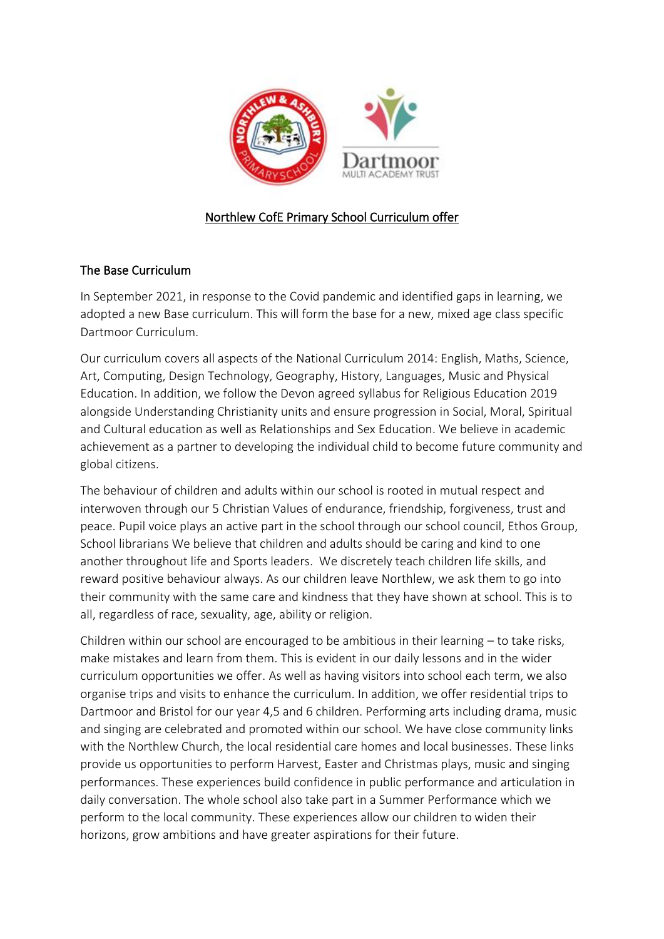

## Northlew CofE Primary School Curriculum offer

## The Base Curriculum

In September 2021, in response to the Covid pandemic and identified gaps in learning, we adopted a new Base curriculum. This will form the base for a new, mixed age class specific Dartmoor Curriculum.

Our curriculum covers all aspects of the National Curriculum 2014: English, Maths, Science, Art, Computing, Design Technology, Geography, History, Languages, Music and Physical Education. In addition, we follow the Devon agreed syllabus for Religious Education 2019 alongside Understanding Christianity units and ensure progression in Social, Moral, Spiritual and Cultural education as well as Relationships and Sex Education. We believe in academic achievement as a partner to developing the individual child to become future community and global citizens.

The behaviour of children and adults within our school is rooted in mutual respect and interwoven through our 5 Christian Values of endurance, friendship, forgiveness, trust and peace. Pupil voice plays an active part in the school through our school council, Ethos Group, School librarians We believe that children and adults should be caring and kind to one another throughout life and Sports leaders. We discretely teach children life skills, and reward positive behaviour always. As our children leave Northlew, we ask them to go into their community with the same care and kindness that they have shown at school. This is to all, regardless of race, sexuality, age, ability or religion.

Children within our school are encouraged to be ambitious in their learning – to take risks, make mistakes and learn from them. This is evident in our daily lessons and in the wider curriculum opportunities we offer. As well as having visitors into school each term, we also organise trips and visits to enhance the curriculum. In addition, we offer residential trips to Dartmoor and Bristol for our year 4,5 and 6 children. Performing arts including drama, music and singing are celebrated and promoted within our school. We have close community links with the Northlew Church, the local residential care homes and local businesses. These links provide us opportunities to perform Harvest, Easter and Christmas plays, music and singing performances. These experiences build confidence in public performance and articulation in daily conversation. The whole school also take part in a Summer Performance which we perform to the local community. These experiences allow our children to widen their horizons, grow ambitions and have greater aspirations for their future.